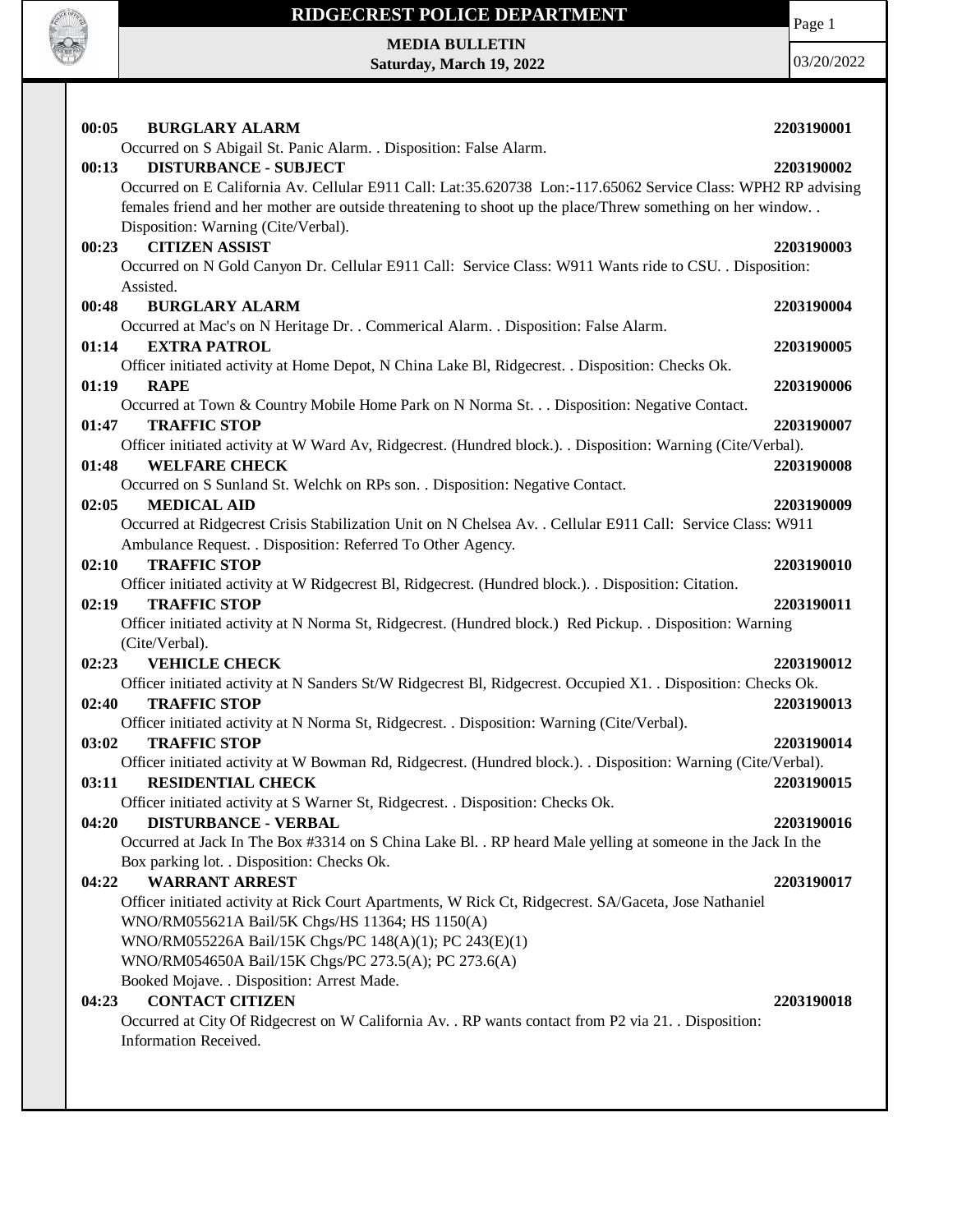

Page 1

**MEDIA BULLETIN Saturday, March 19, 2022**

| 00:05<br><b>BURGLARY ALARM</b>                                                                                                                      | 2203190001 |
|-----------------------------------------------------------------------------------------------------------------------------------------------------|------------|
| Occurred on S Abigail St. Panic Alarm. . Disposition: False Alarm.                                                                                  |            |
| <b>DISTURBANCE - SUBJECT</b><br>00:13                                                                                                               | 2203190002 |
| Occurred on E California Av. Cellular E911 Call: Lat:35.620738 Lon:-117.65062 Service Class: WPH2 RP advising                                       |            |
| females friend and her mother are outside threatening to shoot up the place/Threw something on her window                                           |            |
| Disposition: Warning (Cite/Verbal).                                                                                                                 |            |
| <b>CITIZEN ASSIST</b><br>00:23                                                                                                                      | 2203190003 |
| Occurred on N Gold Canyon Dr. Cellular E911 Call: Service Class: W911 Wants ride to CSU. . Disposition:                                             |            |
| Assisted.                                                                                                                                           |            |
| 00:48<br><b>BURGLARY ALARM</b>                                                                                                                      | 2203190004 |
| Occurred at Mac's on N Heritage Dr. . Commerical Alarm. . Disposition: False Alarm.                                                                 |            |
| 01:14<br><b>EXTRA PATROL</b>                                                                                                                        | 2203190005 |
| Officer initiated activity at Home Depot, N China Lake Bl, Ridgecrest. . Disposition: Checks Ok.                                                    |            |
| <b>RAPE</b><br>01:19                                                                                                                                | 2203190006 |
| Occurred at Town & Country Mobile Home Park on N Norma St. Disposition: Negative Contact.                                                           |            |
| <b>TRAFFIC STOP</b><br>01:47                                                                                                                        | 2203190007 |
| Officer initiated activity at W Ward Av, Ridgecrest. (Hundred block.). . Disposition: Warning (Cite/Verbal).                                        |            |
| <b>WELFARE CHECK</b><br>01:48                                                                                                                       | 2203190008 |
| Occurred on S Sunland St. Welchk on RPs son. . Disposition: Negative Contact.                                                                       |            |
| 02:05<br><b>MEDICAL AID</b>                                                                                                                         | 2203190009 |
| Occurred at Ridgecrest Crisis Stabilization Unit on N Chelsea Av. . Cellular E911 Call: Service Class: W911                                         |            |
| Ambulance Request. . Disposition: Referred To Other Agency.                                                                                         |            |
| 02:10<br><b>TRAFFIC STOP</b>                                                                                                                        | 2203190010 |
| Officer initiated activity at W Ridgecrest Bl, Ridgecrest. (Hundred block.). Disposition: Citation.                                                 |            |
| 02:19<br><b>TRAFFIC STOP</b>                                                                                                                        | 2203190011 |
| Officer initiated activity at N Norma St, Ridgecrest. (Hundred block.) Red Pickup. . Disposition: Warning                                           |            |
|                                                                                                                                                     |            |
| (Cite/Verbal).                                                                                                                                      |            |
| <b>VEHICLE CHECK</b><br>02:23                                                                                                                       | 2203190012 |
|                                                                                                                                                     |            |
| Officer initiated activity at N Sanders St/W Ridgecrest Bl, Ridgecrest. Occupied X1. . Disposition: Checks Ok.<br><b>TRAFFIC STOP</b><br>02:40      | 2203190013 |
|                                                                                                                                                     |            |
| Officer initiated activity at N Norma St, Ridgecrest. . Disposition: Warning (Cite/Verbal).<br><b>TRAFFIC STOP</b><br>03:02                         | 2203190014 |
|                                                                                                                                                     |            |
| Officer initiated activity at W Bowman Rd, Ridgecrest. (Hundred block.). . Disposition: Warning (Cite/Verbal).<br><b>RESIDENTIAL CHECK</b><br>03:11 | 2203190015 |
|                                                                                                                                                     |            |
| Officer initiated activity at S Warner St, Ridgecrest. . Disposition: Checks Ok.<br>04:20<br><b>DISTURBANCE - VERBAL</b>                            | 2203190016 |
|                                                                                                                                                     |            |
| Occurred at Jack In The Box #3314 on S China Lake Bl. . RP heard Male yelling at someone in the Jack In the                                         |            |
| Box parking lot. . Disposition: Checks Ok.<br><b>WARRANT ARREST</b><br>04:22                                                                        |            |
|                                                                                                                                                     | 2203190017 |
| Officer initiated activity at Rick Court Apartments, W Rick Ct, Ridgecrest. SA/Gaceta, Jose Nathaniel                                               |            |
| WNO/RM055621A Bail/5K Chgs/HS 11364; HS 1150(A)<br>WNO/RM055226A Bail/15K Chgs/PC 148(A)(1); PC 243(E)(1)                                           |            |
|                                                                                                                                                     |            |
| WNO/RM054650A Bail/15K Chgs/PC 273.5(A); PC 273.6(A)                                                                                                |            |
| Booked Mojave. . Disposition: Arrest Made.<br><b>CONTACT CITIZEN</b><br>04:23                                                                       | 2203190018 |
|                                                                                                                                                     |            |
| Occurred at City Of Ridgecrest on W California Av. . RP wants contact from P2 via 21. . Disposition:<br>Information Received.                       |            |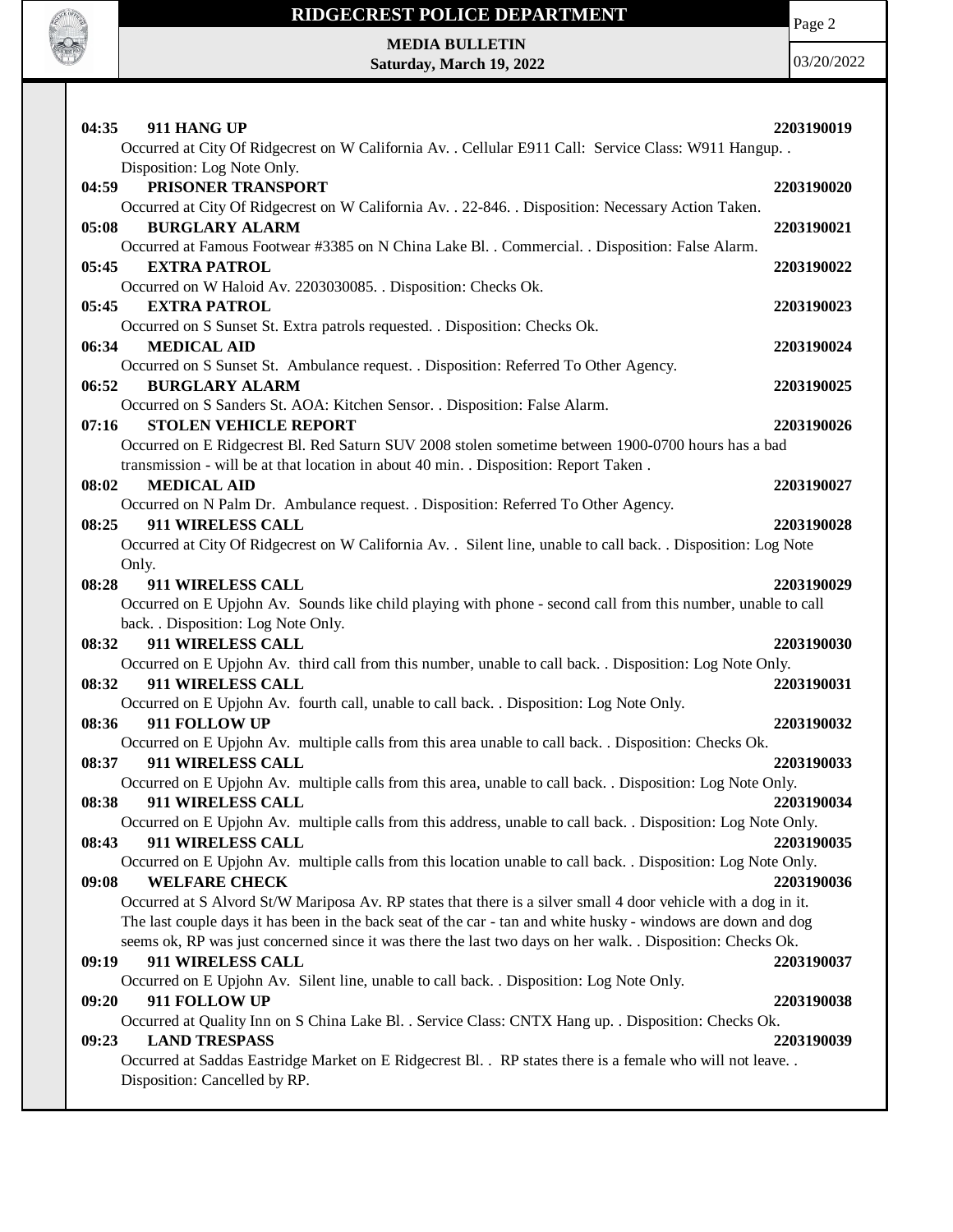

Page 2

**MEDIA BULLETIN Saturday, March 19, 2022**

| 04:35<br>911 HANG UP<br>Occurred at City Of Ridgecrest on W California Av. . Cellular E911 Call: Service Class: W911 Hangup. .            | 2203190019 |
|-------------------------------------------------------------------------------------------------------------------------------------------|------------|
| Disposition: Log Note Only.<br>PRISONER TRANSPORT<br>04:59                                                                                | 2203190020 |
| Occurred at City Of Ridgecrest on W California Av. . 22-846. . Disposition: Necessary Action Taken.                                       |            |
| 05:08<br><b>BURGLARY ALARM</b>                                                                                                            | 2203190021 |
| Occurred at Famous Footwear #3385 on N China Lake Bl. . Commercial. . Disposition: False Alarm.                                           |            |
| <b>EXTRA PATROL</b><br>05:45                                                                                                              | 2203190022 |
| Occurred on W Haloid Av. 2203030085. . Disposition: Checks Ok.                                                                            |            |
| 05:45<br><b>EXTRA PATROL</b>                                                                                                              | 2203190023 |
| Occurred on S Sunset St. Extra patrols requested. . Disposition: Checks Ok.<br>06:34<br><b>MEDICAL AID</b>                                | 2203190024 |
| Occurred on S Sunset St. Ambulance request. . Disposition: Referred To Other Agency.                                                      |            |
| <b>BURGLARY ALARM</b><br>06:52                                                                                                            | 2203190025 |
| Occurred on S Sanders St. AOA: Kitchen Sensor. . Disposition: False Alarm.                                                                |            |
| <b>STOLEN VEHICLE REPORT</b><br>07:16                                                                                                     | 2203190026 |
| Occurred on E Ridgecrest Bl. Red Saturn SUV 2008 stolen sometime between 1900-0700 hours has a bad                                        |            |
| transmission - will be at that location in about 40 min. . Disposition: Report Taken.                                                     |            |
| 08:02<br><b>MEDICAL AID</b>                                                                                                               | 2203190027 |
| Occurred on N Palm Dr. Ambulance request. . Disposition: Referred To Other Agency.                                                        |            |
| 911 WIRELESS CALL<br>08:25                                                                                                                | 2203190028 |
| Occurred at City Of Ridgecrest on W California Av. . Silent line, unable to call back. . Disposition: Log Note                            |            |
| Only.<br>08:28<br>911 WIRELESS CALL                                                                                                       | 2203190029 |
| Occurred on E Upjohn Av. Sounds like child playing with phone - second call from this number, unable to call                              |            |
| back. . Disposition: Log Note Only.                                                                                                       |            |
| 911 WIRELESS CALL<br>08:32                                                                                                                | 2203190030 |
| Occurred on E Upjohn Av. third call from this number, unable to call back. . Disposition: Log Note Only.                                  |            |
| 08:32<br>911 WIRELESS CALL                                                                                                                | 2203190031 |
| Occurred on E Upjohn Av. fourth call, unable to call back. . Disposition: Log Note Only.                                                  |            |
| 911 FOLLOW UP<br>08:36                                                                                                                    | 2203190032 |
| Occurred on E Upjohn Av. multiple calls from this area unable to call back. . Disposition: Checks Ok.                                     |            |
| 911 WIRELESS CALL<br>08:37                                                                                                                | 2203190033 |
| Occurred on E Upjohn Av. multiple calls from this area, unable to call back. . Disposition: Log Note Only.                                |            |
| 08:38<br>911 WIRELESS CALL                                                                                                                | 2203190034 |
| Occurred on E Upjohn Av. multiple calls from this address, unable to call back. Disposition: Log Note Only.<br>911 WIRELESS CALL<br>08:43 | 2203190035 |
| Occurred on E Upjohn Av. multiple calls from this location unable to call back. Disposition: Log Note Only.                               |            |
| <b>WELFARE CHECK</b><br>09:08                                                                                                             | 2203190036 |
| Occurred at S Alvord St/W Mariposa Av. RP states that there is a silver small 4 door vehicle with a dog in it.                            |            |
| The last couple days it has been in the back seat of the car - tan and white husky - windows are down and dog                             |            |
| seems ok, RP was just concerned since it was there the last two days on her walk. . Disposition: Checks Ok.                               |            |
| 911 WIRELESS CALL<br>09:19                                                                                                                | 2203190037 |
| Occurred on E Upjohn Av. Silent line, unable to call back. Disposition: Log Note Only.                                                    |            |
| 911 FOLLOW UP<br>09:20                                                                                                                    | 2203190038 |
| Occurred at Quality Inn on S China Lake Bl. . Service Class: CNTX Hang up. . Disposition: Checks Ok.                                      |            |
| <b>LAND TRESPASS</b><br>09:23                                                                                                             | 2203190039 |
| Occurred at Saddas Eastridge Market on E Ridgecrest Bl. . RP states there is a female who will not leave. .                               |            |
| Disposition: Cancelled by RP.                                                                                                             |            |
|                                                                                                                                           |            |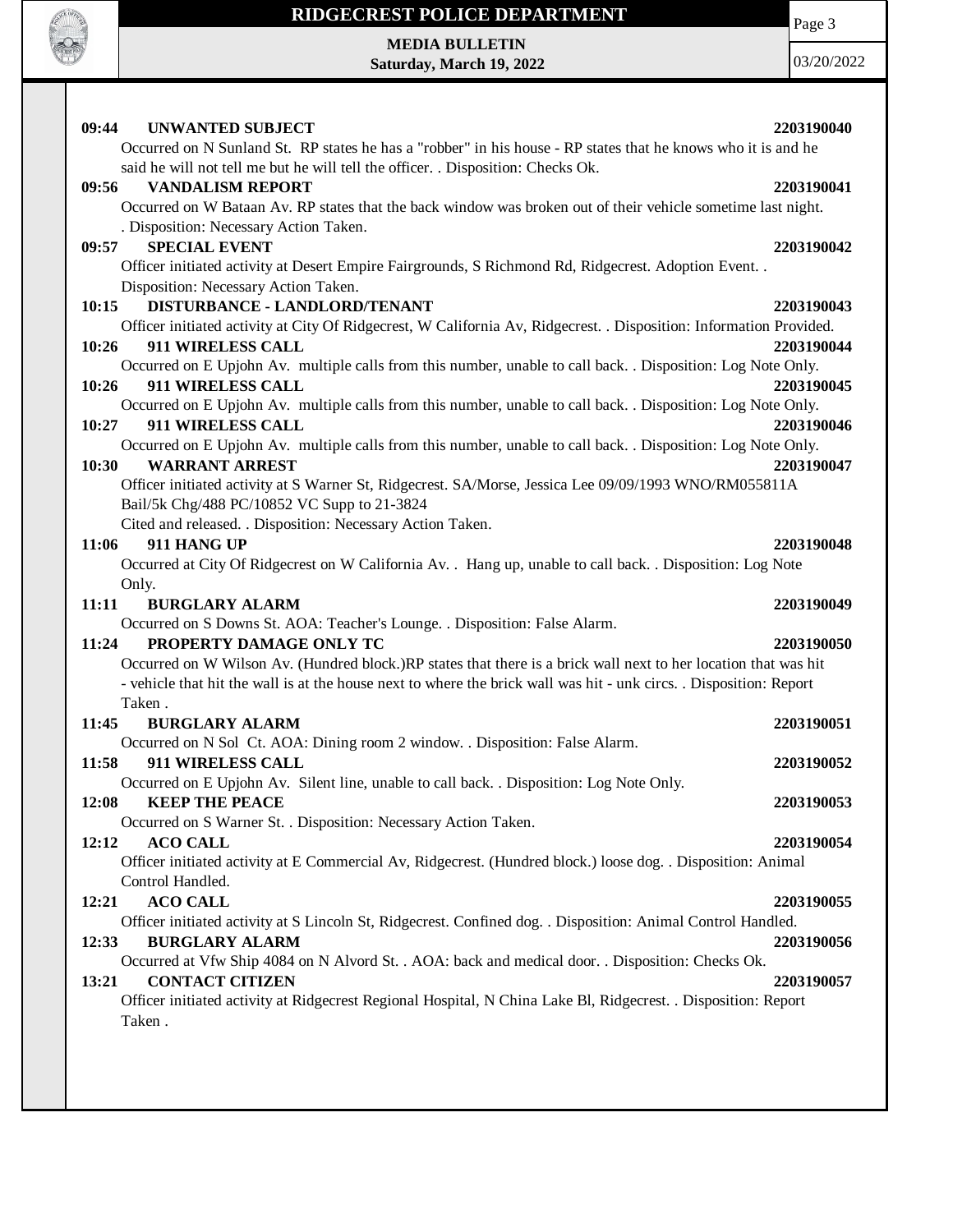

**MEDIA BULLETIN Saturday, March 19, 2022** Page 3

| 09:44<br><b>UNWANTED SUBJECT</b>                                                                                    | 2203190040 |
|---------------------------------------------------------------------------------------------------------------------|------------|
| Occurred on N Sunland St. RP states he has a "robber" in his house - RP states that he knows who it is and he       |            |
| said he will not tell me but he will tell the officer. . Disposition: Checks Ok.                                    |            |
| <b>VANDALISM REPORT</b><br>09:56                                                                                    | 2203190041 |
| Occurred on W Bataan Av. RP states that the back window was broken out of their vehicle sometime last night.        |            |
| . Disposition: Necessary Action Taken.                                                                              |            |
| <b>SPECIAL EVENT</b><br>09:57                                                                                       | 2203190042 |
| Officer initiated activity at Desert Empire Fairgrounds, S Richmond Rd, Ridgecrest. Adoption Event. .               |            |
| Disposition: Necessary Action Taken.                                                                                |            |
| DISTURBANCE - LANDLORD/TENANT<br>10:15                                                                              | 2203190043 |
| Officer initiated activity at City Of Ridgecrest, W California Av, Ridgecrest. . Disposition: Information Provided. |            |
| 911 WIRELESS CALL<br>10:26                                                                                          | 2203190044 |
| Occurred on E Upjohn Av. multiple calls from this number, unable to call back. Disposition: Log Note Only.          |            |
| 10:26<br>911 WIRELESS CALL                                                                                          | 2203190045 |
| Occurred on E Upjohn Av. multiple calls from this number, unable to call back. Disposition: Log Note Only.          |            |
| 911 WIRELESS CALL<br>10:27                                                                                          | 2203190046 |
| Occurred on E Upjohn Av. multiple calls from this number, unable to call back. . Disposition: Log Note Only.        |            |
| 10:30<br><b>WARRANT ARREST</b>                                                                                      | 2203190047 |
| Officer initiated activity at S Warner St, Ridgecrest. SA/Morse, Jessica Lee 09/09/1993 WNO/RM055811A               |            |
| Bail/5k Chg/488 PC/10852 VC Supp to 21-3824                                                                         |            |
| Cited and released. . Disposition: Necessary Action Taken.                                                          |            |
| 911 HANG UP<br>11:06                                                                                                | 2203190048 |
| Occurred at City Of Ridgecrest on W California Av. . Hang up, unable to call back. . Disposition: Log Note          |            |
| Only.                                                                                                               |            |
| 11:11<br><b>BURGLARY ALARM</b>                                                                                      | 2203190049 |
| Occurred on S Downs St. AOA: Teacher's Lounge. . Disposition: False Alarm.                                          |            |
| PROPERTY DAMAGE ONLY TC<br>11:24                                                                                    | 2203190050 |
| Occurred on W Wilson Av. (Hundred block.) RP states that there is a brick wall next to her location that was hit    |            |
| - vehicle that hit the wall is at the house next to where the brick wall was hit - unk circs. . Disposition: Report |            |
| Taken.                                                                                                              |            |
| 11:45<br><b>BURGLARY ALARM</b>                                                                                      | 2203190051 |
| Occurred on N Sol Ct. AOA: Dining room 2 window. . Disposition: False Alarm.                                        |            |
| 11:58<br>911 WIRELESS CALL                                                                                          | 2203190052 |
| Occurred on E Upjohn Av. Silent line, unable to call back. Disposition: Log Note Only.                              |            |
| 12:08<br><b>KEEP THE PEACE</b>                                                                                      | 2203190053 |
| Occurred on S Warner St. . Disposition: Necessary Action Taken.                                                     |            |
| <b>ACO CALL</b><br>12:12                                                                                            | 2203190054 |
| Officer initiated activity at E Commercial Av, Ridgecrest. (Hundred block.) loose dog. . Disposition: Animal        |            |
| Control Handled.                                                                                                    |            |
| <b>ACO CALL</b><br>12:21                                                                                            | 2203190055 |
| Officer initiated activity at S Lincoln St, Ridgecrest. Confined dog. . Disposition: Animal Control Handled.        |            |
| 12:33<br><b>BURGLARY ALARM</b>                                                                                      | 2203190056 |
| Occurred at Vfw Ship 4084 on N Alvord St. . AOA: back and medical door. . Disposition: Checks Ok.                   |            |
| 13:21<br><b>CONTACT CITIZEN</b>                                                                                     | 2203190057 |
| Officer initiated activity at Ridgecrest Regional Hospital, N China Lake Bl, Ridgecrest. . Disposition: Report      |            |
| Taken.                                                                                                              |            |
|                                                                                                                     |            |
|                                                                                                                     |            |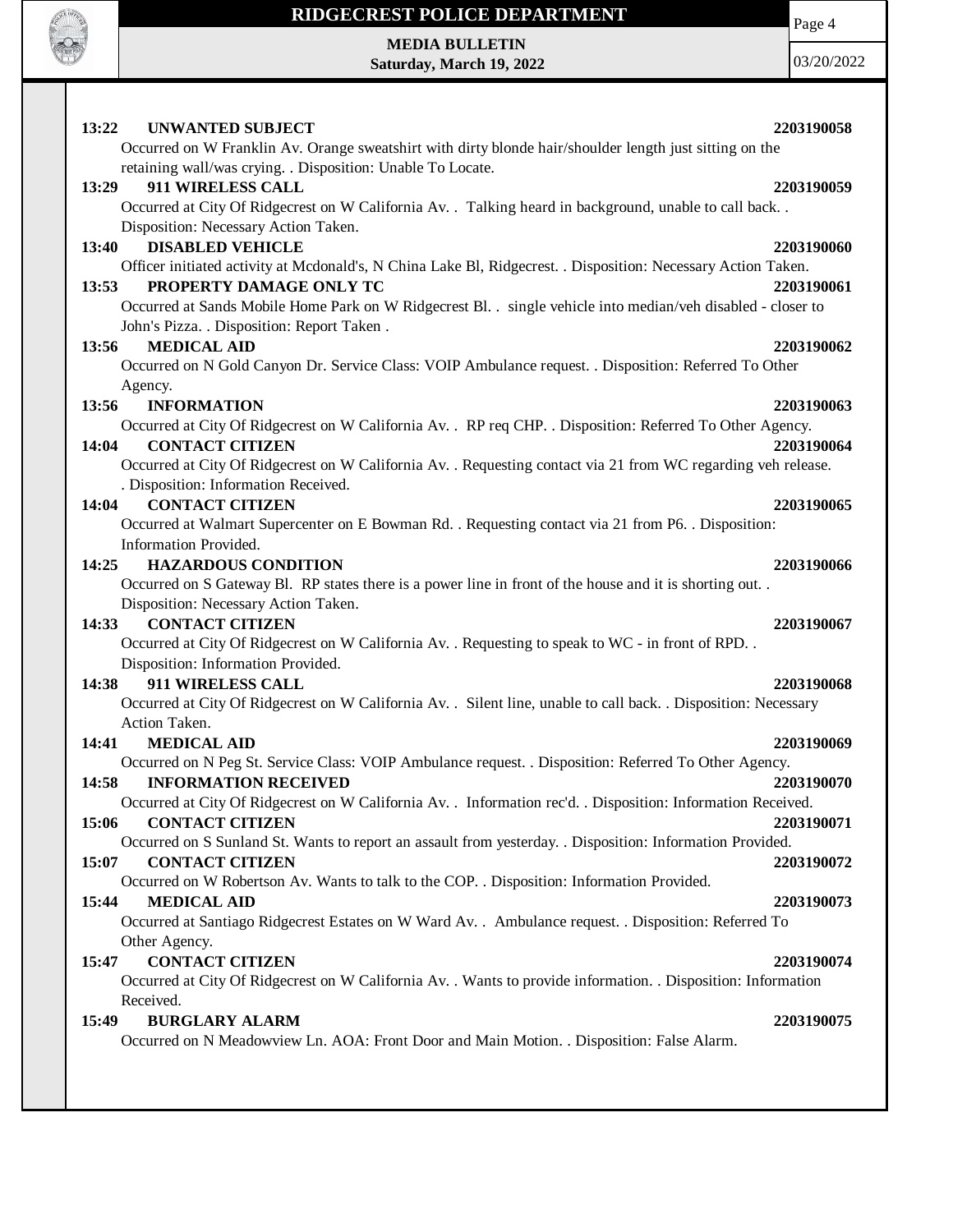

Page 4

**MEDIA BULLETIN Saturday, March 19, 2022**

| 13:22 UNWANTED SUBJECT<br>Occurred on W Franklin Av. Orange sweatshirt with dirty blonde hair/shoulder length just sitting on the            | 2203190058 |
|----------------------------------------------------------------------------------------------------------------------------------------------|------------|
| retaining wall/was crying. . Disposition: Unable To Locate.                                                                                  |            |
| 911 WIRELESS CALL<br>13:29                                                                                                                   | 2203190059 |
| Occurred at City Of Ridgecrest on W California Av. . Talking heard in background, unable to call back. .                                     |            |
| Disposition: Necessary Action Taken.                                                                                                         |            |
| <b>DISABLED VEHICLE</b><br>13:40                                                                                                             | 2203190060 |
| Officer initiated activity at Mcdonald's, N China Lake Bl, Ridgecrest. . Disposition: Necessary Action Taken.                                |            |
| PROPERTY DAMAGE ONLY TC<br>13:53                                                                                                             | 2203190061 |
| Occurred at Sands Mobile Home Park on W Ridgecrest Bl. . single vehicle into median/veh disabled - closer to                                 |            |
| John's Pizza. . Disposition: Report Taken .                                                                                                  |            |
| <b>MEDICAL AID</b><br>13:56                                                                                                                  | 2203190062 |
| Occurred on N Gold Canyon Dr. Service Class: VOIP Ambulance request. . Disposition: Referred To Other                                        |            |
| Agency.                                                                                                                                      |            |
| 13:56<br><b>INFORMATION</b>                                                                                                                  | 2203190063 |
| Occurred at City Of Ridgecrest on W California Av. . RP req CHP. . Disposition: Referred To Other Agency.<br><b>CONTACT CITIZEN</b><br>14:04 | 2203190064 |
| Occurred at City Of Ridgecrest on W California Av. . Requesting contact via 21 from WC regarding veh release.                                |            |
| . Disposition: Information Received.                                                                                                         |            |
| <b>CONTACT CITIZEN</b><br>14:04                                                                                                              | 2203190065 |
| Occurred at Walmart Supercenter on E Bowman Rd. . Requesting contact via 21 from P6. . Disposition:                                          |            |
| Information Provided.                                                                                                                        |            |
| <b>HAZARDOUS CONDITION</b><br>14:25                                                                                                          | 2203190066 |
| Occurred on S Gateway Bl. RP states there is a power line in front of the house and it is shorting out                                       |            |
| Disposition: Necessary Action Taken.                                                                                                         |            |
| <b>CONTACT CITIZEN</b><br>14:33                                                                                                              | 2203190067 |
| Occurred at City Of Ridgecrest on W California Av. . Requesting to speak to WC - in front of RPD. .                                          |            |
| Disposition: Information Provided.                                                                                                           |            |
| 911 WIRELESS CALL<br>14:38                                                                                                                   | 2203190068 |
| Occurred at City Of Ridgecrest on W California Av. . Silent line, unable to call back. . Disposition: Necessary                              |            |
| Action Taken.                                                                                                                                |            |
| 14:41<br><b>MEDICAL AID</b>                                                                                                                  | 2203190069 |
| Occurred on N Peg St. Service Class: VOIP Ambulance request. . Disposition: Referred To Other Agency.                                        |            |
| 14:58<br><b>INFORMATION RECEIVED</b>                                                                                                         | 2203190070 |
| Occurred at City Of Ridgecrest on W California Av. . Information rec'd. . Disposition: Information Received.                                 |            |
| 15:06<br><b>CONTACT CITIZEN</b>                                                                                                              | 2203190071 |
| Occurred on S Sunland St. Wants to report an assault from yesterday. . Disposition: Information Provided.<br>15:07<br><b>CONTACT CITIZEN</b> | 2203190072 |
| Occurred on W Robertson Av. Wants to talk to the COP. . Disposition: Information Provided.                                                   |            |
| <b>MEDICAL AID</b><br>15:44                                                                                                                  | 2203190073 |
| Occurred at Santiago Ridgecrest Estates on W Ward Av. . Ambulance request. . Disposition: Referred To                                        |            |
| Other Agency.                                                                                                                                |            |
| <b>CONTACT CITIZEN</b><br>15:47                                                                                                              | 2203190074 |
| Occurred at City Of Ridgecrest on W California Av. . Wants to provide information. . Disposition: Information                                |            |
| Received.                                                                                                                                    |            |
| 15:49<br><b>BURGLARY ALARM</b>                                                                                                               | 2203190075 |
| Occurred on N Meadowview Ln. AOA: Front Door and Main Motion. . Disposition: False Alarm.                                                    |            |
|                                                                                                                                              |            |
|                                                                                                                                              |            |
|                                                                                                                                              |            |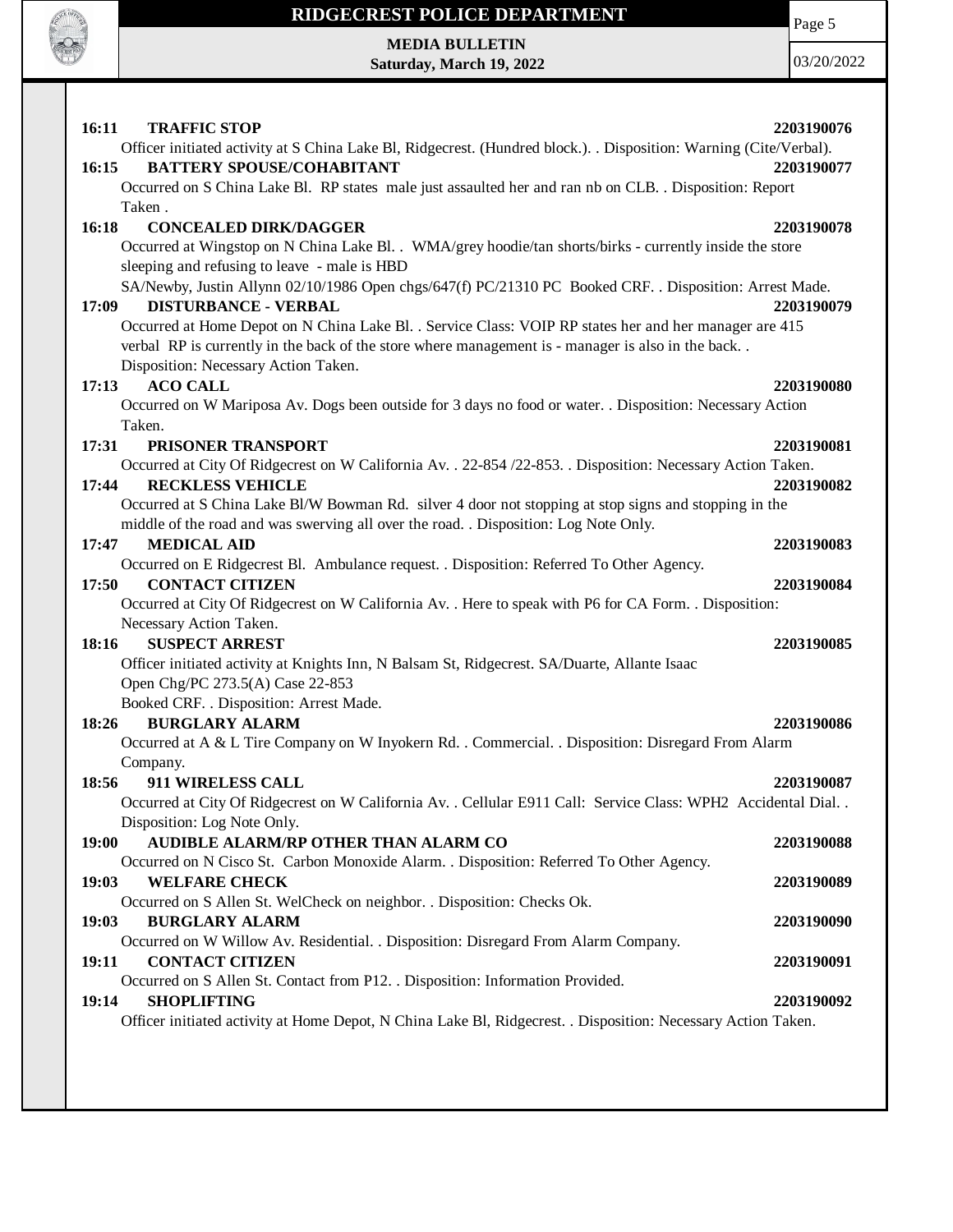

# **RIDGECREST POLICE DEPARTMENT MEDIA BULLETIN**

**Saturday, March 19, 2022**

Page 5

| 16:11<br><b>TRAFFIC STOP</b>                                                                                     | 2203190076 |
|------------------------------------------------------------------------------------------------------------------|------------|
| Officer initiated activity at S China Lake Bl, Ridgecrest. (Hundred block.). Disposition: Warning (Cite/Verbal). |            |
| <b>BATTERY SPOUSE/COHABITANT</b><br>16:15                                                                        | 2203190077 |
| Occurred on S China Lake Bl. RP states male just assaulted her and ran nb on CLB. . Disposition: Report          |            |
| Taken.                                                                                                           |            |
| 16:18<br><b>CONCEALED DIRK/DAGGER</b>                                                                            | 2203190078 |
| Occurred at Wingstop on N China Lake Bl. . WMA/grey hoodie/tan shorts/birks - currently inside the store         |            |
| sleeping and refusing to leave - male is HBD                                                                     |            |
| SA/Newby, Justin Allynn 02/10/1986 Open chgs/647(f) PC/21310 PC Booked CRF. . Disposition: Arrest Made.          |            |
| <b>DISTURBANCE - VERBAL</b><br>17:09                                                                             | 2203190079 |
| Occurred at Home Depot on N China Lake Bl. . Service Class: VOIP RP states her and her manager are 415           |            |
| verbal RP is currently in the back of the store where management is - manager is also in the back                |            |
| Disposition: Necessary Action Taken.                                                                             |            |
| <b>ACO CALL</b><br>17:13                                                                                         | 2203190080 |
| Occurred on W Mariposa Av. Dogs been outside for 3 days no food or water. . Disposition: Necessary Action        |            |
| Taken.                                                                                                           |            |
| 17:31<br><b>PRISONER TRANSPORT</b>                                                                               | 2203190081 |
| Occurred at City Of Ridgecrest on W California Av. . 22-854 /22-853. . Disposition: Necessary Action Taken.      |            |
| <b>RECKLESS VEHICLE</b><br>17:44                                                                                 | 2203190082 |
| Occurred at S China Lake Bl/W Bowman Rd. silver 4 door not stopping at stop signs and stopping in the            |            |
| middle of the road and was swerving all over the road. . Disposition: Log Note Only.                             |            |
| <b>MEDICAL AID</b><br>17:47                                                                                      | 2203190083 |
| Occurred on E Ridgecrest Bl. Ambulance request. . Disposition: Referred To Other Agency.                         |            |
| <b>CONTACT CITIZEN</b><br>17:50                                                                                  | 2203190084 |
| Occurred at City Of Ridgecrest on W California Av. . Here to speak with P6 for CA Form. . Disposition:           |            |
| Necessary Action Taken.                                                                                          |            |
| <b>SUSPECT ARREST</b><br>18:16                                                                                   | 2203190085 |
| Officer initiated activity at Knights Inn, N Balsam St, Ridgecrest. SA/Duarte, Allante Isaac                     |            |
| Open Chg/PC 273.5(A) Case 22-853                                                                                 |            |
| Booked CRF. . Disposition: Arrest Made.                                                                          |            |
| 18:26<br><b>BURGLARY ALARM</b>                                                                                   | 2203190086 |
| Occurred at A & L Tire Company on W Inyokern Rd. . Commercial. . Disposition: Disregard From Alarm               |            |
| Company.                                                                                                         |            |
| 18:56<br>911 WIRELESS CALL                                                                                       | 2203190087 |
| Occurred at City Of Ridgecrest on W California Av. . Cellular E911 Call: Service Class: WPH2 Accidental Dial. .  |            |
| Disposition: Log Note Only.                                                                                      |            |
| AUDIBLE ALARM/RP OTHER THAN ALARM CO<br>19:00                                                                    | 2203190088 |
| Occurred on N Cisco St. Carbon Monoxide Alarm. . Disposition: Referred To Other Agency.                          |            |
| 19:03<br><b>WELFARE CHECK</b>                                                                                    | 2203190089 |
| Occurred on S Allen St. WelCheck on neighbor. . Disposition: Checks Ok.                                          |            |
| 19:03<br><b>BURGLARY ALARM</b>                                                                                   | 2203190090 |
| Occurred on W Willow Av. Residential. . Disposition: Disregard From Alarm Company.                               |            |
| 19:11<br><b>CONTACT CITIZEN</b>                                                                                  | 2203190091 |
| Occurred on S Allen St. Contact from P12. . Disposition: Information Provided.                                   |            |
| 19:14<br><b>SHOPLIFTING</b>                                                                                      | 2203190092 |
| Officer initiated activity at Home Depot, N China Lake Bl, Ridgecrest. . Disposition: Necessary Action Taken.    |            |
|                                                                                                                  |            |
|                                                                                                                  |            |
|                                                                                                                  |            |
|                                                                                                                  |            |